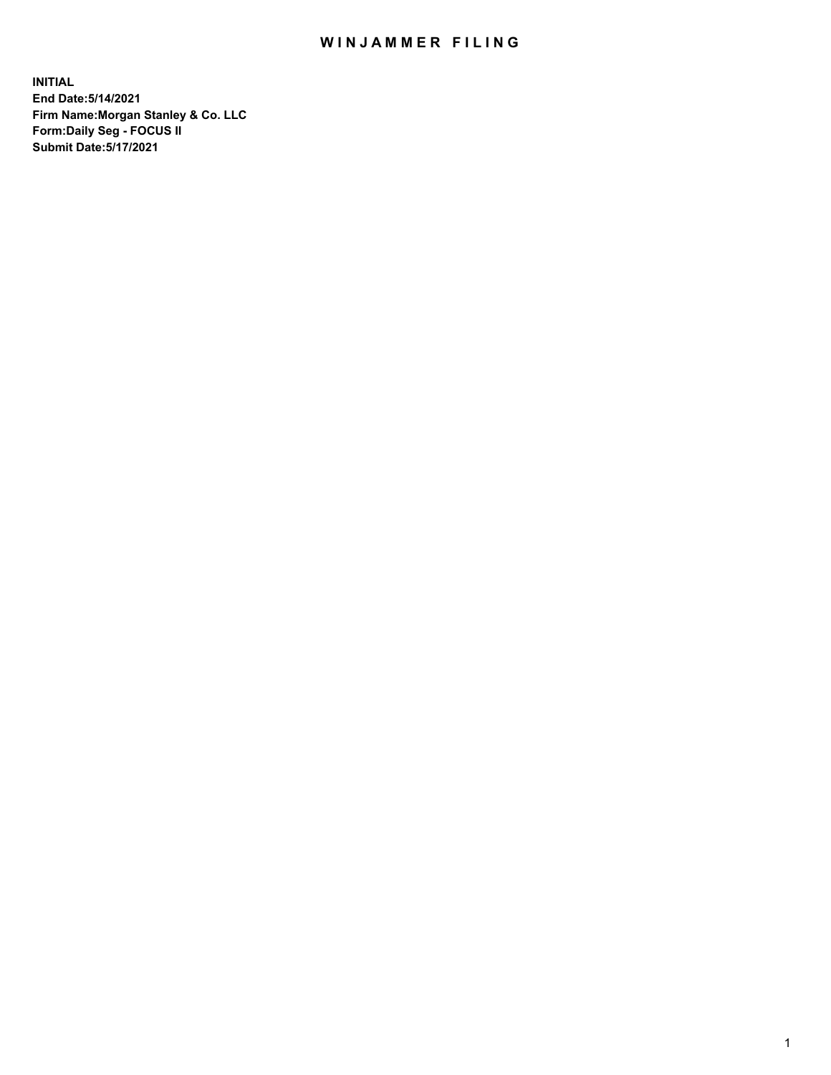## WIN JAMMER FILING

**INITIAL End Date:5/14/2021 Firm Name:Morgan Stanley & Co. LLC Form:Daily Seg - FOCUS II Submit Date:5/17/2021**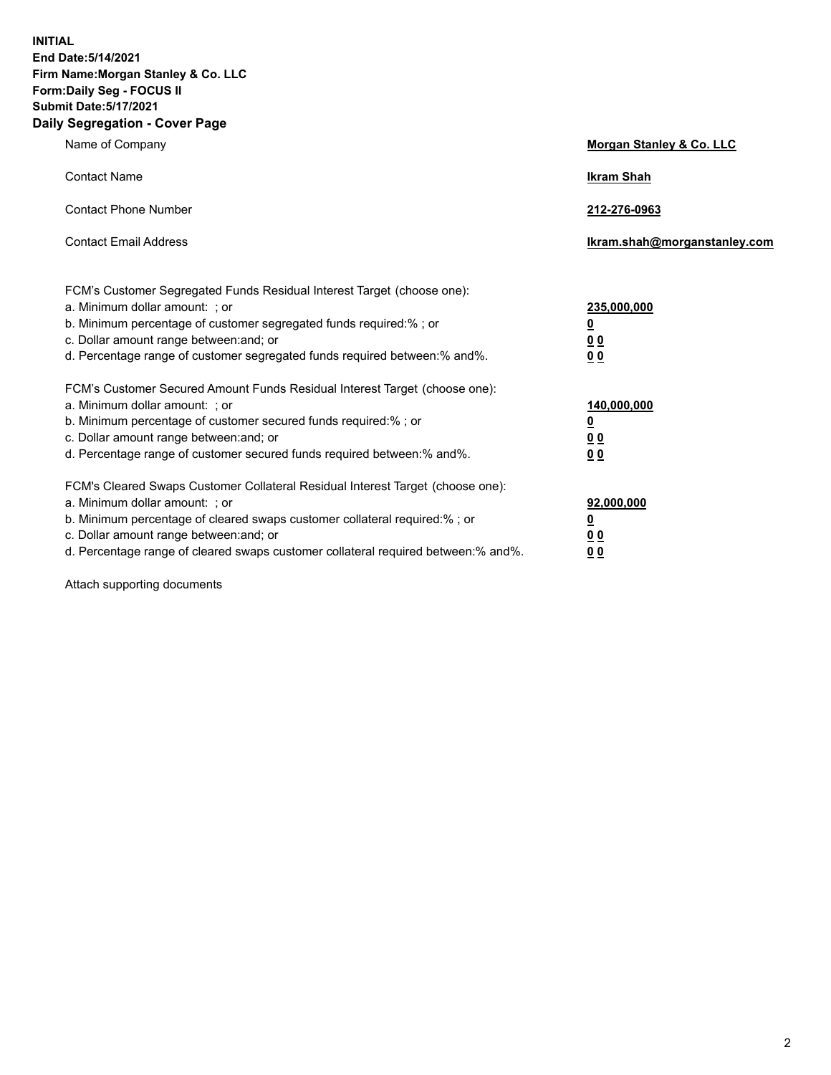**INITIAL End Date:5/14/2021 Firm Name:Morgan Stanley & Co. LLC Form:Daily Seg - FOCUS II Submit Date:5/17/2021 Daily Segregation - Cover Page**

| Name of Company                                                                                                                                                                                                                                                                                                                | <b>Morgan Stanley &amp; Co. LLC</b>                     |
|--------------------------------------------------------------------------------------------------------------------------------------------------------------------------------------------------------------------------------------------------------------------------------------------------------------------------------|---------------------------------------------------------|
| <b>Contact Name</b>                                                                                                                                                                                                                                                                                                            | <b>Ikram Shah</b>                                       |
| <b>Contact Phone Number</b>                                                                                                                                                                                                                                                                                                    | 212-276-0963                                            |
| <b>Contact Email Address</b>                                                                                                                                                                                                                                                                                                   | Ikram.shah@morganstanley.com                            |
| FCM's Customer Segregated Funds Residual Interest Target (choose one):<br>a. Minimum dollar amount: ; or<br>b. Minimum percentage of customer segregated funds required:% ; or<br>c. Dollar amount range between: and; or                                                                                                      | 235,000,000<br><u>0</u><br><u>00</u>                    |
| d. Percentage range of customer segregated funds required between:% and%.<br>FCM's Customer Secured Amount Funds Residual Interest Target (choose one):                                                                                                                                                                        | 0 <sup>0</sup>                                          |
| a. Minimum dollar amount: ; or<br>b. Minimum percentage of customer secured funds required:%; or<br>c. Dollar amount range between: and; or<br>d. Percentage range of customer secured funds required between: % and %.                                                                                                        | 140,000,000<br><u>0</u><br><u>0 0</u><br>0 <sub>0</sub> |
| FCM's Cleared Swaps Customer Collateral Residual Interest Target (choose one):<br>a. Minimum dollar amount: ; or<br>b. Minimum percentage of cleared swaps customer collateral required:% ; or<br>c. Dollar amount range between: and; or<br>d. Percentage range of cleared swaps customer collateral required between:% and%. | 92,000,000<br><u>0</u><br>0 Q<br>0 <sub>0</sub>         |

Attach supporting documents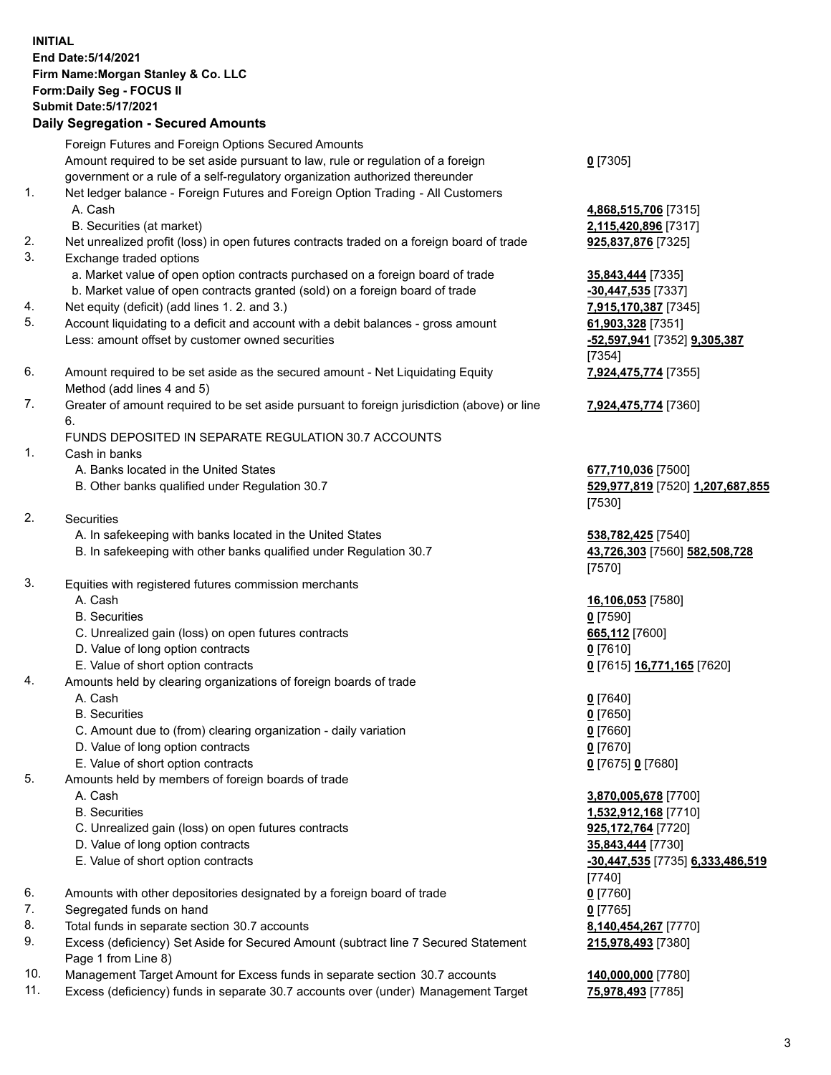## **INITIAL End Date:5/14/2021 Firm Name:Morgan Stanley & Co. LLC Form:Daily Seg - FOCUS II Submit Date:5/17/2021**

## **Daily Segregation - Secured Amounts**

Foreign Futures and Foreign Options Secured Amounts Amount required to be set aside pursuant to law, rule or regulation of a foreign government or a rule of a self-regulatory organization authorized thereunder 1. Net ledger balance - Foreign Futures and Foreign Option Trading - All Customers A. Cash **4,868,515,706** [7315] B. Securities (at market) **2,115,420,896** [7317] 2. Net unrealized profit (loss) in open futures contracts traded on a foreign board of trade **925,837,876** [7325] 3. Exchange traded options a. Market value of open option contracts purchased on a foreign board of trade **35,843,444** [7335] b. Market value of open contracts granted (sold) on a foreign board of trade **-30,447,535** [7337] 4. Net equity (deficit) (add lines 1. 2. and 3.) **7,915,170,387** [7345] 5. Account liquidating to a deficit and account with a debit balances - gross amount **61,903,328** [7351] Less: amount offset by customer owned securities **-52,597,941** [7352] **9,305,387** 6. Amount required to be set aside as the secured amount - Net Liquidating Equity Method (add lines 4 and 5) 7. Greater of amount required to be set aside pursuant to foreign jurisdiction (above) or line 6. FUNDS DEPOSITED IN SEPARATE REGULATION 30.7 ACCOUNTS 1. Cash in banks A. Banks located in the United States **677,710,036** [7500] B. Other banks qualified under Regulation 30.7 **529,977,819** [7520] **1,207,687,855** 2. Securities A. In safekeeping with banks located in the United States **538,782,425** [7540] B. In safekeeping with other banks qualified under Regulation 30.7 **43,726,303** [7560] **582,508,728**

- 3. Equities with registered futures commission merchants
	-
	- B. Securities **0** [7590]
	- C. Unrealized gain (loss) on open futures contracts **665,112** [7600]
	- D. Value of long option contracts **0** [7610]
	- E. Value of short option contracts **0** [7615] **16,771,165** [7620]
- 4. Amounts held by clearing organizations of foreign boards of trade
	-
	- B. Securities **0** [7650]
	- C. Amount due to (from) clearing organization daily variation **0** [7660]
	- D. Value of long option contracts **0** [7670]
	- E. Value of short option contracts **0** [7675] **0** [7680]
- 5. Amounts held by members of foreign boards of trade
	-
	-
	- C. Unrealized gain (loss) on open futures contracts **925,172,764** [7720]
	- D. Value of long option contracts **35,843,444** [7730]
	- E. Value of short option contracts **-30,447,535** [7735] **6,333,486,519**
- 6. Amounts with other depositories designated by a foreign board of trade **0** [7760]
- 7. Segregated funds on hand **0** [7765]
- 8. Total funds in separate section 30.7 accounts **8,140,454,267** [7770]
- 9. Excess (deficiency) Set Aside for Secured Amount (subtract line 7 Secured Statement Page 1 from Line 8)
- 10. Management Target Amount for Excess funds in separate section 30.7 accounts **140,000,000** [7780]
- 11. Excess (deficiency) funds in separate 30.7 accounts over (under) Management Target **75,978,493** [7785]

**0** [7305]

[7354] **7,924,475,774** [7355]

**7,924,475,774** [7360]

[7530]

[7570]

A. Cash **16,106,053** [7580]

A. Cash **0** [7640]

 A. Cash **3,870,005,678** [7700] B. Securities **1,532,912,168** [7710] [7740] **215,978,493** [7380]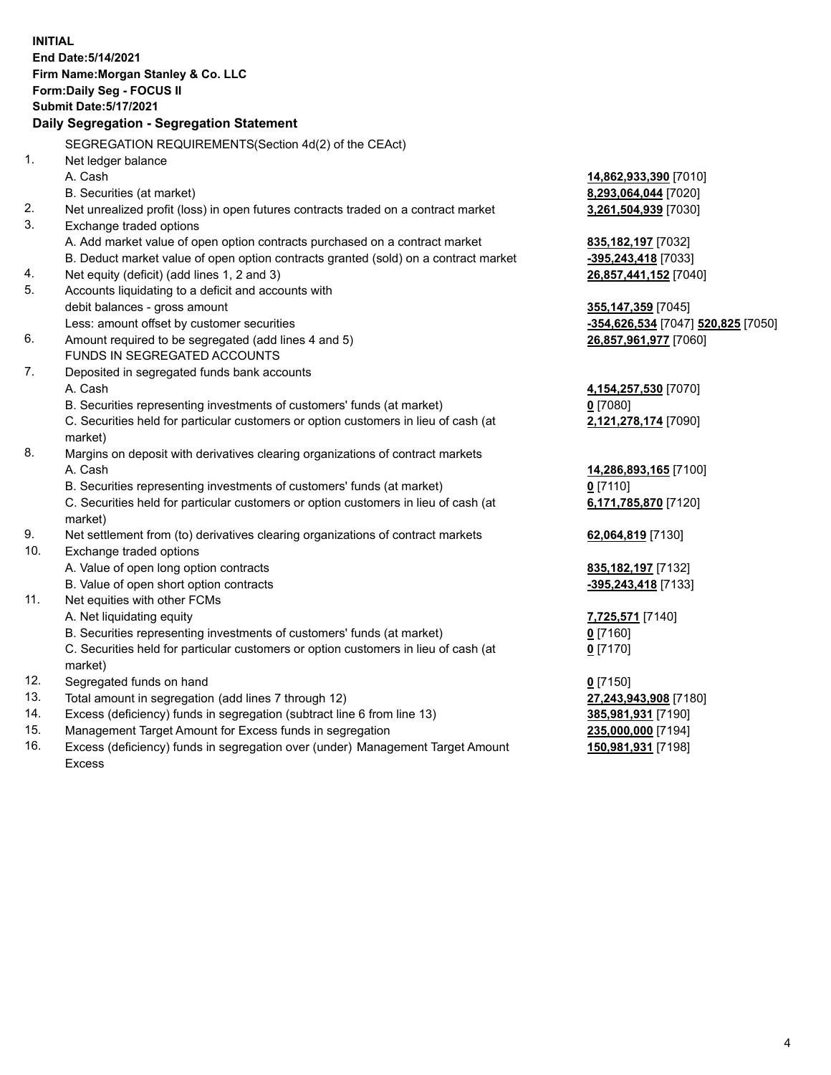**INITIAL End Date:5/14/2021 Firm Name:Morgan Stanley & Co. LLC Form:Daily Seg - FOCUS II Submit Date:5/17/2021 Daily Segregation - Segregation Statement** SEGREGATION REQUIREMENTS(Section 4d(2) of the CEAct) 1. Net ledger balance A. Cash **14,862,933,390** [7010] B. Securities (at market) **8,293,064,044** [7020] 2. Net unrealized profit (loss) in open futures contracts traded on a contract market **3,261,504,939** [7030] 3. Exchange traded options A. Add market value of open option contracts purchased on a contract market **835,182,197** [7032] B. Deduct market value of open option contracts granted (sold) on a contract market **-395,243,418** [7033] 4. Net equity (deficit) (add lines 1, 2 and 3) **26,857,441,152** [7040] 5. Accounts liquidating to a deficit and accounts with debit balances - gross amount **355,147,359** [7045] Less: amount offset by customer securities **-354,626,534** [7047] **520,825** [7050] 6. Amount required to be segregated (add lines 4 and 5) **26,857,961,977** [7060] FUNDS IN SEGREGATED ACCOUNTS 7. Deposited in segregated funds bank accounts A. Cash **4,154,257,530** [7070] B. Securities representing investments of customers' funds (at market) **0** [7080] C. Securities held for particular customers or option customers in lieu of cash (at market) **2,121,278,174** [7090] 8. Margins on deposit with derivatives clearing organizations of contract markets A. Cash **14,286,893,165** [7100] B. Securities representing investments of customers' funds (at market) **0** [7110] C. Securities held for particular customers or option customers in lieu of cash (at market) **6,171,785,870** [7120] 9. Net settlement from (to) derivatives clearing organizations of contract markets **62,064,819** [7130] 10. Exchange traded options A. Value of open long option contracts **835,182,197** [7132] B. Value of open short option contracts **-395,243,418** [7133] 11. Net equities with other FCMs A. Net liquidating equity **7,725,571** [7140] B. Securities representing investments of customers' funds (at market) **0** [7160] C. Securities held for particular customers or option customers in lieu of cash (at market) **0** [7170] 12. Segregated funds on hand **0** [7150] 13. Total amount in segregation (add lines 7 through 12) **27,243,943,908** [7180] 14. Excess (deficiency) funds in segregation (subtract line 6 from line 13) **385,981,931** [7190] 15. Management Target Amount for Excess funds in segregation **235,000,000** [7194] **150,981,931** [7198]

16. Excess (deficiency) funds in segregation over (under) Management Target Amount Excess